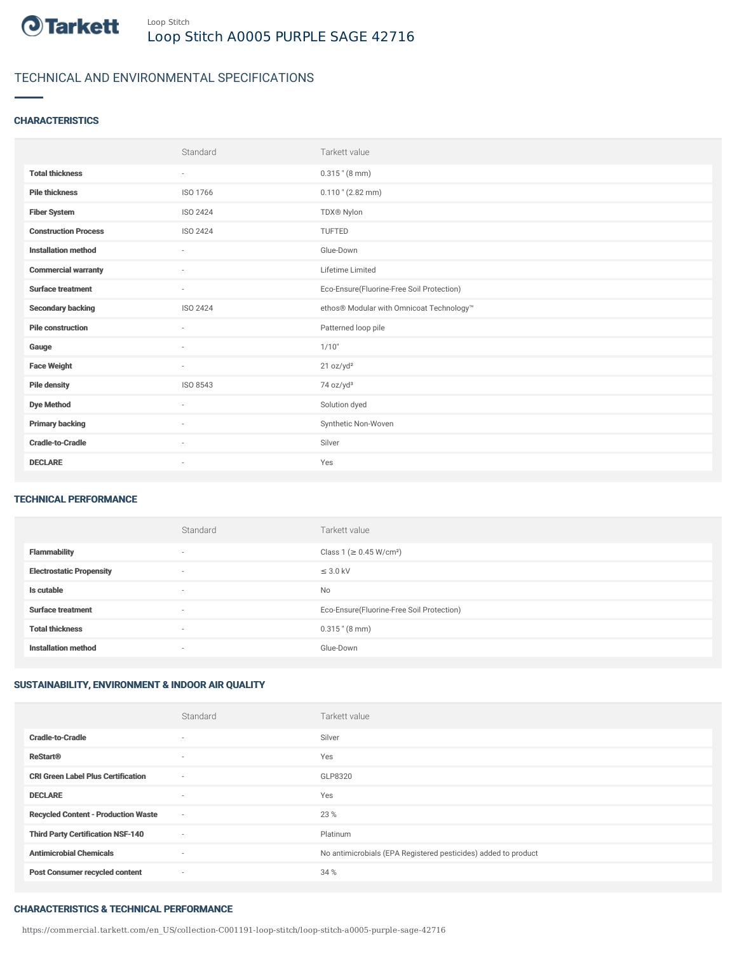

# TECHNICAL AND ENVIRONMENTAL SPECIFICATIONS

### **CHARACTERISTICS**

|                             | Standard        | Tarkett value                             |
|-----------------------------|-----------------|-------------------------------------------|
| <b>Total thickness</b>      | $\sim$          | $0.315$ " (8 mm)                          |
| <b>Pile thickness</b>       | ISO 1766        | $0.110$ " (2.82 mm)                       |
| <b>Fiber System</b>         | <b>ISO 2424</b> | TDX® Nylon                                |
| <b>Construction Process</b> | ISO 2424        | TUFTED                                    |
| <b>Installation method</b>  | $\sim$          | Glue-Down                                 |
| <b>Commercial warranty</b>  | ٠               | Lifetime Limited                          |
| <b>Surface treatment</b>    | $\sim$          | Eco-Ensure(Fluorine-Free Soil Protection) |
| <b>Secondary backing</b>    | ISO 2424        | ethos® Modular with Omnicoat Technology™  |
| <b>Pile construction</b>    | $\sim$          | Patterned loop pile                       |
| Gauge                       | ٠               | 1/10"                                     |
| <b>Face Weight</b>          | $\sim$          | 21 oz/yd <sup>2</sup>                     |
| <b>Pile density</b>         | ISO 8543        | 74 oz/yd <sup>3</sup>                     |
| <b>Dye Method</b>           | ٠               | Solution dyed                             |
| <b>Primary backing</b>      | ٠               | Synthetic Non-Woven                       |
| <b>Cradle-to-Cradle</b>     | $\sim$          | Silver                                    |
| <b>DECLARE</b>              | $\sim$          | Yes                                       |

### TECHNICAL PERFORMANCE

|                                 | Standard                 | Tarkett value                             |
|---------------------------------|--------------------------|-------------------------------------------|
| <b>Flammability</b>             | $\overline{\phantom{a}}$ | Class 1 (≥ 0.45 W/cm <sup>2</sup> )       |
| <b>Electrostatic Propensity</b> | $\overline{\phantom{a}}$ | $\leq$ 3.0 kV                             |
| Is cutable                      | $\overline{\phantom{a}}$ | <b>No</b>                                 |
| <b>Surface treatment</b>        | $\overline{\phantom{a}}$ | Eco-Ensure(Fluorine-Free Soil Protection) |
| <b>Total thickness</b>          | $\overline{\phantom{a}}$ | $0.315$ " (8 mm)                          |
| <b>Installation method</b>      | $\overline{\phantom{a}}$ | Glue-Down                                 |

## SUSTAINABILITY, ENVIRONMENT & INDOOR AIR QUALITY

|                                            | Standard                 | Tarkett value                                                  |
|--------------------------------------------|--------------------------|----------------------------------------------------------------|
| <b>Cradle-to-Cradle</b>                    | $\overline{\phantom{a}}$ | Silver                                                         |
| <b>ReStart®</b>                            | ٠                        | Yes                                                            |
| <b>CRI Green Label Plus Certification</b>  | ٠                        | GLP8320                                                        |
| <b>DECLARE</b>                             | $\overline{\phantom{a}}$ | Yes                                                            |
| <b>Recycled Content - Production Waste</b> | $\sim$                   | 23 %                                                           |
| <b>Third Party Certification NSF-140</b>   | ٠                        | Platinum                                                       |
| <b>Antimicrobial Chemicals</b>             | ٠                        | No antimicrobials (EPA Registered pesticides) added to product |
| <b>Post Consumer recycled content</b>      | ٠                        | 34 %                                                           |

#### CHARACTERISTICS & TECHNICAL PERFORMANCE

https://commercial.tarkett.com/en\_US/collection-C001191-loop-stitch/loop-stitch-a0005-purple-sage-42716